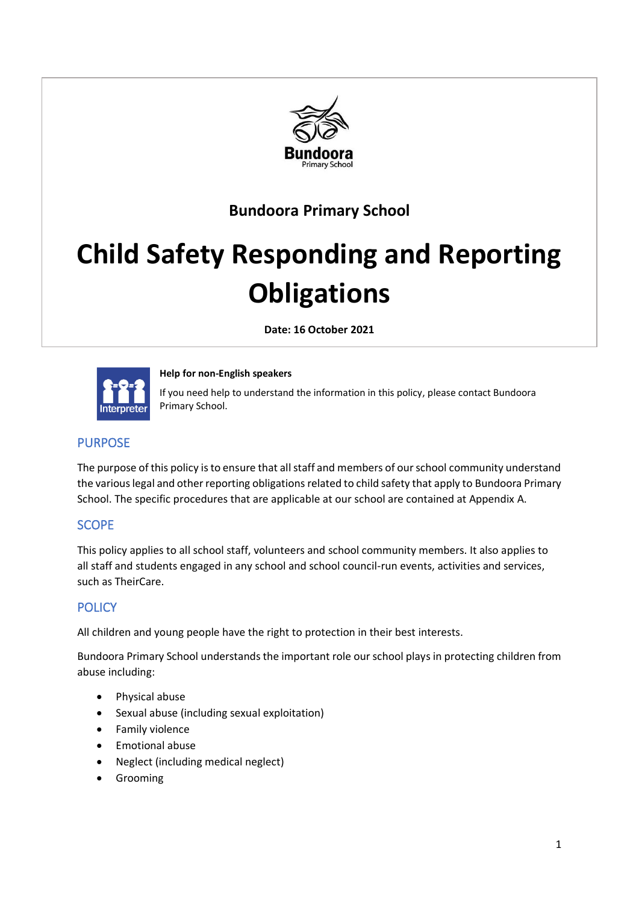

## **Bundoora Primary School**

# **Child Safety Responding and Reporting Obligations**

**Date: 16 October 2021**



**Help for non-English speakers** 

If you need help to understand the information in this policy, please contact Bundoora Primary School.

## PURPOSE

The purpose of this policy is to ensure that all staff and members of our school community understand the various legal and other reporting obligations related to child safety that apply to Bundoora Primary School. The specific procedures that are applicable at our school are contained at Appendix A.

## SCOPE

This policy applies to all school staff, volunteers and school community members. It also applies to all staff and students engaged in any school and school council-run events, activities and services, such as TheirCare.

## **POLICY**

All children and young people have the right to protection in their best interests.

Bundoora Primary School understands the important role our school plays in protecting children from abuse including:

- Physical abuse
- Sexual abuse (including sexual exploitation)
- Family violence
- Emotional abuse
- Neglect (including medical neglect)
- Grooming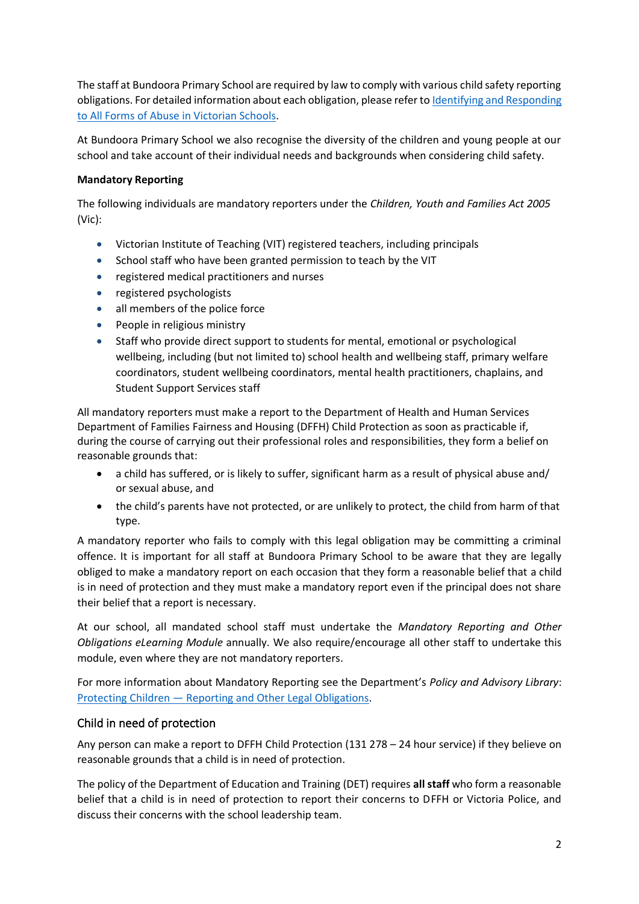The staff at Bundoora Primary School are required by law to comply with various child safety reporting obligations. For detailed information about each obligation, please refer t[o Identifying and Responding](https://www.education.vic.gov.au/Documents/about/programs/health/protect/ChildSafeStandard5_SchoolsGuide.pdf)  [to All Forms of Abuse in Victorian Schools.](https://www.education.vic.gov.au/Documents/about/programs/health/protect/ChildSafeStandard5_SchoolsGuide.pdf)

At Bundoora Primary School we also recognise the diversity of the children and young people at our school and take account of their individual needs and backgrounds when considering child safety.

## **Mandatory Reporting**

The following individuals are mandatory reporters under the *Children, Youth and Families Act 2005* (Vic):

- Victorian Institute of Teaching (VIT) registered teachers, including principals
- School staff who have been granted permission to teach by the VIT
- registered medical practitioners and nurses
- registered psychologists
- all members of the police force
- People in religious ministry
- Staff who provide direct support to students for mental, emotional or psychological wellbeing, including (but not limited to) school health and wellbeing staff, primary welfare coordinators, student wellbeing coordinators, mental health practitioners, chaplains, and Student Support Services staff

All mandatory reporters must make a report to the Department of Health and Human Services Department of Families Fairness and Housing (DFFH) Child Protection as soon as practicable if, during the course of carrying out their professional roles and responsibilities, they form a belief on reasonable grounds that:

- a child has suffered, or is likely to suffer, significant harm as a result of physical abuse and/ or sexual abuse, and
- the child's parents have not protected, or are unlikely to protect, the child from harm of that type.

A mandatory reporter who fails to comply with this legal obligation may be committing a criminal offence. It is important for all staff at Bundoora Primary School to be aware that they are legally obliged to make a mandatory report on each occasion that they form a reasonable belief that a child is in need of protection and they must make a mandatory report even if the principal does not share their belief that a report is necessary.

At our school, all mandated school staff must undertake the *Mandatory Reporting and Other Obligations eLearning Module* annually. We also require/encourage all other staff to undertake this module, even where they are not mandatory reporters.

For more information about Mandatory Reporting see the Department's *Policy and Advisory Library*: Protecting Children — [Reporting and Other Legal Obligations.](https://www2.education.vic.gov.au/pal/protecting-children/policy)

## Child in need of protection

Any person can make a report to DFFH Child Protection (131 278 – 24 hour service) if they believe on reasonable grounds that a child is in need of protection.

The policy of the Department of Education and Training (DET) requires **all staff** who form a reasonable belief that a child is in need of protection to report their concerns to DFFH or Victoria Police, and discuss their concerns with the school leadership team.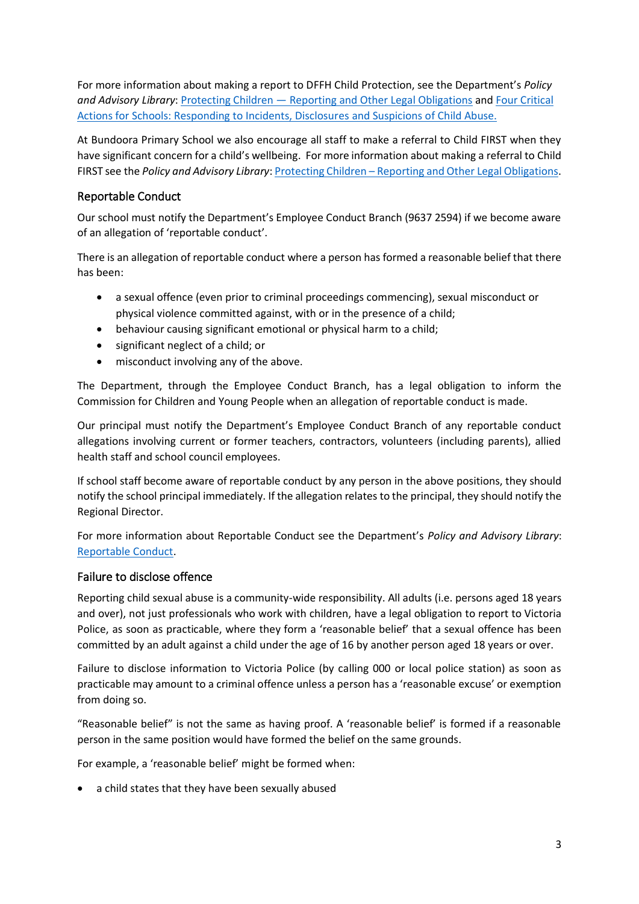For more information about making a report to DFFH Child Protection, see the Department's *Policy and Advisory Library*: Protecting Children — [Reporting and Other Legal Obligations](https://www2.education.vic.gov.au/pal/protecting-children/policy) and [Four Critical](https://www.education.vic.gov.au/Documents/about/programs/health/protect/FourCriticalActions_ChildAbuse.pdf)  [Actions for Schools: Responding to Incidents, Disclosures and Suspicions of Child Abuse.](https://www.education.vic.gov.au/Documents/about/programs/health/protect/FourCriticalActions_ChildAbuse.pdf)

At Bundoora Primary School we also encourage all staff to make a referral to Child FIRST when they have significant concern for a child's wellbeing. For more information about making a referral to Child FIRST see the *Policy and Advisory Library*: Protecting Children – [Reporting and Other Legal Obligations.](https://www2.education.vic.gov.au/pal/protecting-children/policy)

## Reportable Conduct

Our school must notify the Department's Employee Conduct Branch (9637 2594) if we become aware of an allegation of 'reportable conduct'.

There is an allegation of reportable conduct where a person has formed a reasonable belief that there has been:

- a sexual offence (even prior to criminal proceedings commencing), sexual misconduct or physical violence committed against, with or in the presence of a child;
- behaviour causing significant emotional or physical harm to a child;
- significant neglect of a child; or
- misconduct involving any of the above.

The Department, through the Employee Conduct Branch, has a legal obligation to inform the Commission for Children and Young People when an allegation of reportable conduct is made.

Our principal must notify the Department's Employee Conduct Branch of any reportable conduct allegations involving current or former teachers, contractors, volunteers (including parents), allied health staff and school council employees.

If school staff become aware of reportable conduct by any person in the above positions, they should notify the school principal immediately. If the allegation relates to the principal, they should notify the Regional Director.

For more information about Reportable Conduct see the Department's *Policy and Advisory Library*: [Reportable Conduct.](https://www2.education.vic.gov.au/pal/reportable-conduct-scheme/policy)

## Failure to disclose offence

Reporting child sexual abuse is a community-wide responsibility. All adults (i.e. persons aged 18 years and over), not just professionals who work with children, have a legal obligation to report to Victoria Police, as soon as practicable, where they form a 'reasonable belief' that a sexual offence has been committed by an adult against a child under the age of 16 by another person aged 18 years or over.

Failure to disclose information to Victoria Police (by calling 000 or local police station) as soon as practicable may amount to a criminal offence unless a person has a 'reasonable excuse' or exemption from doing so.

"Reasonable belief" is not the same as having proof. A 'reasonable belief' is formed if a reasonable person in the same position would have formed the belief on the same grounds.

For example, a 'reasonable belief' might be formed when:

• a child states that they have been sexually abused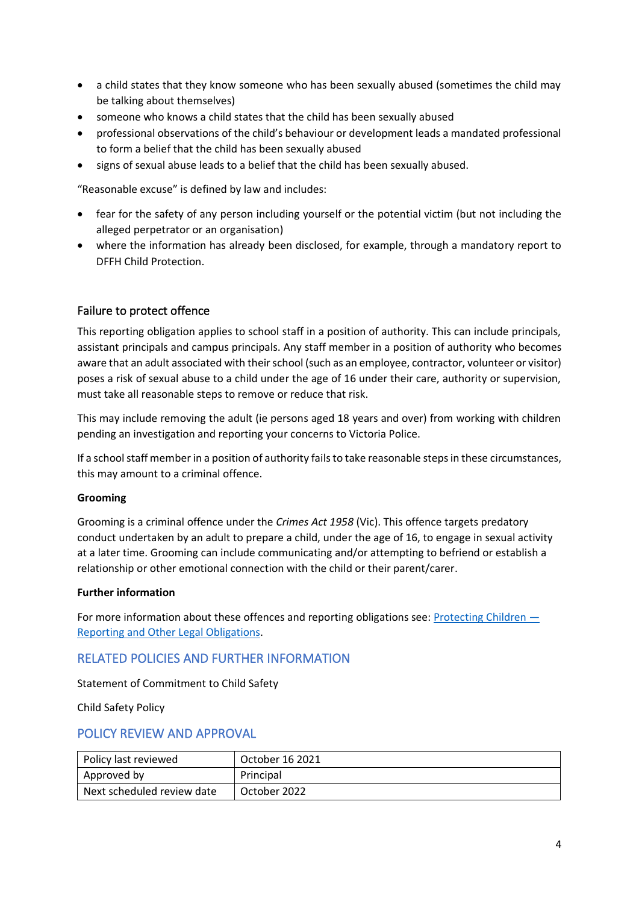- a child states that they know someone who has been sexually abused (sometimes the child may be talking about themselves)
- someone who knows a child states that the child has been sexually abused
- professional observations of the child's behaviour or development leads a mandated professional to form a belief that the child has been sexually abused
- signs of sexual abuse leads to a belief that the child has been sexually abused.

"Reasonable excuse" is defined by law and includes:

- fear for the safety of any person including yourself or the potential victim (but not including the alleged perpetrator or an organisation)
- where the information has already been disclosed, for example, through a mandatory report to DFFH Child Protection.

## Failure to protect offence

This reporting obligation applies to school staff in a position of authority. This can include principals, assistant principals and campus principals. Any staff member in a position of authority who becomes aware that an adult associated with their school (such as an employee, contractor, volunteer or visitor) poses a risk of sexual abuse to a child under the age of 16 under their care, authority or supervision, must take all reasonable steps to remove or reduce that risk.

This may include removing the adult (ie persons aged 18 years and over) from working with children pending an investigation and reporting your concerns to Victoria Police.

If a school staff member in a position of authority fails to take reasonable steps in these circumstances, this may amount to a criminal offence.

#### **Grooming**

Grooming is a criminal offence under the *Crimes Act 1958* (Vic). This offence targets predatory conduct undertaken by an adult to prepare a child, under the age of 16, to engage in sexual activity at a later time. Grooming can include communicating and/or attempting to befriend or establish a relationship or other emotional connection with the child or their parent/carer.

#### **Further information**

For more information about these offences and reporting obligations see: [Protecting Children](https://www2.education.vic.gov.au/pal/protecting-children/policy) — [Reporting and Other Legal Obligations.](https://www2.education.vic.gov.au/pal/protecting-children/policy)

## RELATED POLICIES AND FURTHER INFORMATION

Statement of Commitment to Child Safety

Child Safety Policy

## POLICY REVIEW AND APPROVAL

| Policy last reviewed       | October 16 2021 |
|----------------------------|-----------------|
| Approved by                | Principal       |
| Next scheduled review date | October 2022    |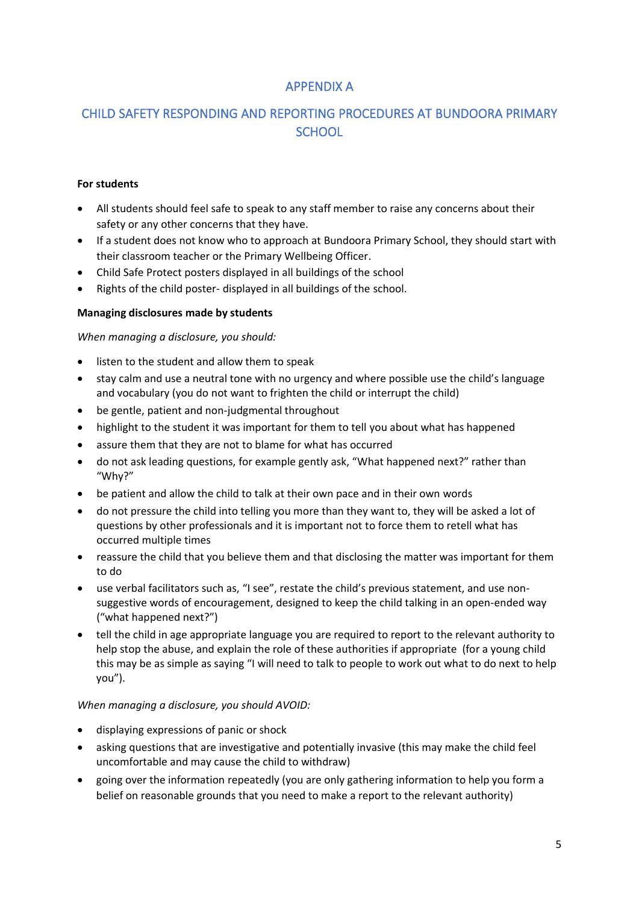## APPENDIX A

## CHILD SAFETY RESPONDING AND REPORTING PROCEDURES AT BUNDOORA PRIMARY **SCHOOL**

## **For students**

- All students should feel safe to speak to any staff member to raise any concerns about their safety or any other concerns that they have.
- If a student does not know who to approach at Bundoora Primary School, they should start with their classroom teacher or the Primary Wellbeing Officer.
- Child Safe Protect posters displayed in all buildings of the school
- Rights of the child poster- displayed in all buildings of the school.

## **Managing disclosures made by students**

#### *When managing a disclosure, you should:*

- listen to the student and allow them to speak
- stay calm and use a neutral tone with no urgency and where possible use the child's language and vocabulary (you do not want to frighten the child or interrupt the child)
- be gentle, patient and non-judgmental throughout
- highlight to the student it was important for them to tell you about what has happened
- assure them that they are not to blame for what has occurred
- do not ask leading questions, for example gently ask, "What happened next?" rather than "Why?"
- be patient and allow the child to talk at their own pace and in their own words
- do not pressure the child into telling you more than they want to, they will be asked a lot of questions by other professionals and it is important not to force them to retell what has occurred multiple times
- reassure the child that you believe them and that disclosing the matter was important for them to do
- use verbal facilitators such as, "I see", restate the child's previous statement, and use nonsuggestive words of encouragement, designed to keep the child talking in an open-ended way ("what happened next?")
- tell the child in age appropriate language you are required to report to the relevant authority to help stop the abuse, and explain the role of these authorities if appropriate (for a young child this may be as simple as saying "I will need to talk to people to work out what to do next to help you").

#### *When managing a disclosure, you should AVOID:*

- displaying expressions of panic or shock
- asking questions that are investigative and potentially invasive (this may make the child feel uncomfortable and may cause the child to withdraw)
- going over the information repeatedly (you are only gathering information to help you form a belief on reasonable grounds that you need to make a report to the relevant authority)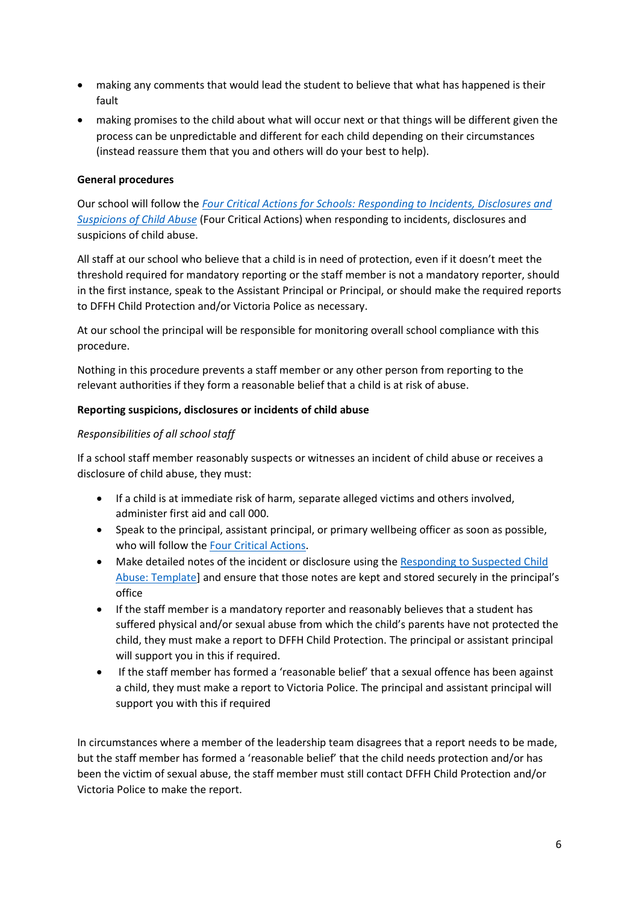- making any comments that would lead the student to believe that what has happened is their fault
- making promises to the child about what will occur next or that things will be different given the process can be unpredictable and different for each child depending on their circumstances (instead reassure them that you and others will do your best to help).

## **General procedures**

Our school will follow the *[Four Critical Actions for Schools: Responding to Incidents, Disclosures and](https://www.education.vic.gov.au/Documents/about/programs/health/protect/FourCriticalActions_ChildAbuse.pdf)  [Suspicions of Child Abuse](https://www.education.vic.gov.au/Documents/about/programs/health/protect/FourCriticalActions_ChildAbuse.pdf)* (Four Critical Actions) when responding to incidents, disclosures and suspicions of child abuse.

All staff at our school who believe that a child is in need of protection, even if it doesn't meet the threshold required for mandatory reporting or the staff member is not a mandatory reporter, should in the first instance, speak to the Assistant Principal or Principal, or should make the required reports to DFFH Child Protection and/or Victoria Police as necessary.

At our school the principal will be responsible for monitoring overall school compliance with this procedure.

Nothing in this procedure prevents a staff member or any other person from reporting to the relevant authorities if they form a reasonable belief that a child is at risk of abuse.

#### **Reporting suspicions, disclosures or incidents of child abuse**

## *Responsibilities of all school staff*

If a school staff member reasonably suspects or witnesses an incident of child abuse or receives a disclosure of child abuse, they must:

- If a child is at immediate risk of harm, separate alleged victims and others involved, administer first aid and call 000.
- Speak to the principal, assistant principal, or primary wellbeing officer as soon as possible, who will follow th[e Four Critical Actions.](https://www.education.vic.gov.au/Documents/about/programs/health/protect/FourCriticalActions_ChildAbuse.pdf)
- Make detailed notes of the incident or disclosure using the Responding to Suspected Child [Abuse: Template\]](https://www.education.vic.gov.au/Documents/about/programs/health/protect/PROTECT_Schoolstemplate.pdf) and ensure that those notes are kept and stored securely in the principal's office
- If the staff member is a mandatory reporter and reasonably believes that a student has suffered physical and/or sexual abuse from which the child's parents have not protected the child, they must make a report to DFFH Child Protection. The principal or assistant principal will support you in this if required.
- If the staff member has formed a 'reasonable belief' that a sexual offence has been against a child, they must make a report to Victoria Police. The principal and assistant principal will support you with this if required

In circumstances where a member of the leadership team disagrees that a report needs to be made, but the staff member has formed a 'reasonable belief' that the child needs protection and/or has been the victim of sexual abuse, the staff member must still contact DFFH Child Protection and/or Victoria Police to make the report.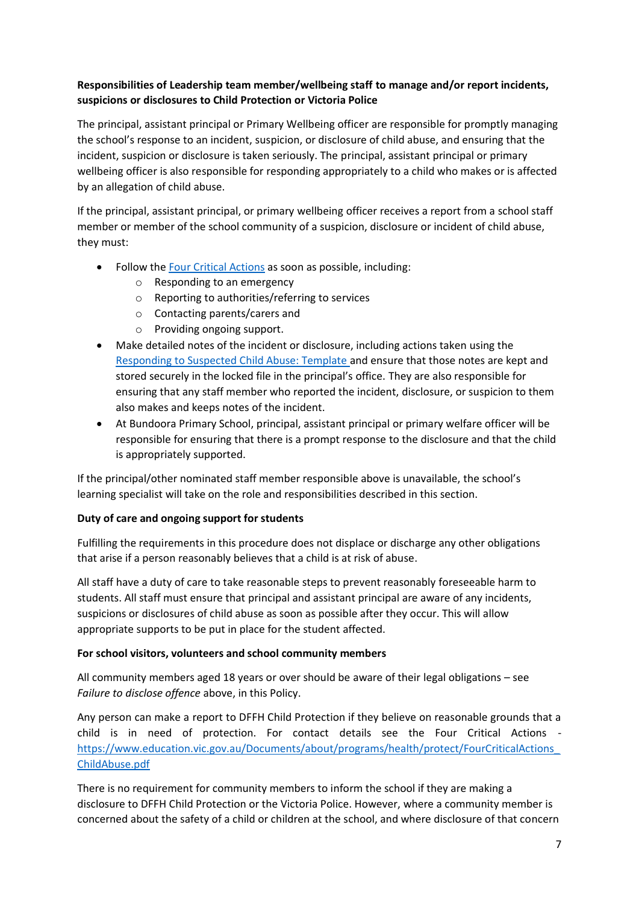## **Responsibilities of Leadership team member/wellbeing staff to manage and/or report incidents, suspicions or disclosures to Child Protection or Victoria Police**

The principal, assistant principal or Primary Wellbeing officer are responsible for promptly managing the school's response to an incident, suspicion, or disclosure of child abuse, and ensuring that the incident, suspicion or disclosure is taken seriously. The principal, assistant principal or primary wellbeing officer is also responsible for responding appropriately to a child who makes or is affected by an allegation of child abuse.

If the principal, assistant principal, or primary wellbeing officer receives a report from a school staff member or member of the school community of a suspicion, disclosure or incident of child abuse, they must:

- Follow the [Four Critical Actions](https://www.education.vic.gov.au/Documents/about/programs/health/protect/FourCriticalActions_ChildAbuse.pdf) as soon as possible, including:
	- o Responding to an emergency
	- o Reporting to authorities/referring to services
	- o Contacting parents/carers and
	- o Providing ongoing support.
- Make detailed notes of the incident or disclosure, including actions taken using the [Responding to Suspected Child Abuse: Template](https://www.education.vic.gov.au/Documents/about/programs/health/protect/PROTECT_Schoolstemplate.pdf) and ensure that those notes are kept and stored securely in the locked file in the principal's office. They are also responsible for ensuring that any staff member who reported the incident, disclosure, or suspicion to them also makes and keeps notes of the incident.
- At Bundoora Primary School, principal, assistant principal or primary welfare officer will be responsible for ensuring that there is a prompt response to the disclosure and that the child is appropriately supported.

If the principal/other nominated staff member responsible above is unavailable, the school's learning specialist will take on the role and responsibilities described in this section.

## **Duty of care and ongoing support for students**

Fulfilling the requirements in this procedure does not displace or discharge any other obligations that arise if a person reasonably believes that a child is at risk of abuse.

All staff have a duty of care to take reasonable steps to prevent reasonably foreseeable harm to students. All staff must ensure that principal and assistant principal are aware of any incidents, suspicions or disclosures of child abuse as soon as possible after they occur. This will allow appropriate supports to be put in place for the student affected.

## **For school visitors, volunteers and school community members**

All community members aged 18 years or over should be aware of their legal obligations – see *Failure to disclose offence* above, in this Policy.

Any person can make a report to DFFH Child Protection if they believe on reasonable grounds that a child is in need of protection. For contact details see the Four Critical Actions [https://www.education.vic.gov.au/Documents/about/programs/health/protect/FourCriticalActions\\_](https://www.education.vic.gov.au/Documents/about/programs/health/protect/FourCriticalActions_ChildAbuse.pdf) [ChildAbuse.pdf](https://www.education.vic.gov.au/Documents/about/programs/health/protect/FourCriticalActions_ChildAbuse.pdf)

There is no requirement for community members to inform the school if they are making a disclosure to DFFH Child Protection or the Victoria Police. However, where a community member is concerned about the safety of a child or children at the school, and where disclosure of that concern